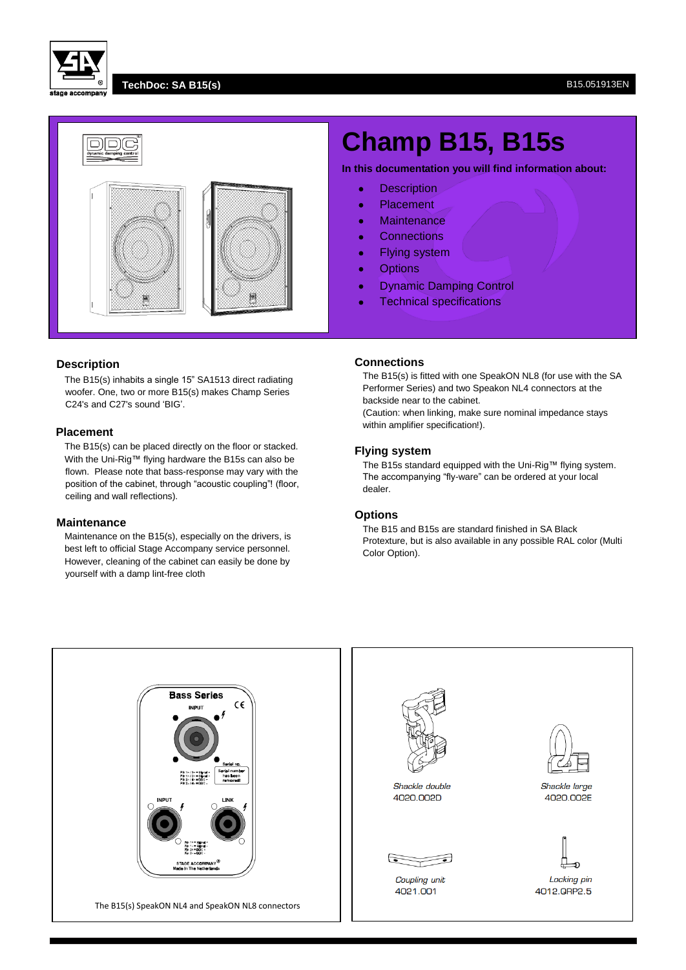

#### **TechDoc: SA B15(s)** B15.051913EN



# **Description**

The B15(s) inhabits a single 15" SA1513 direct radiating woofer. One, two or more B15(s) makes Champ Series C24's and C27's sound 'BIG'.

#### **Placement**

The B15(s) can be placed directly on the floor or stacked. With the Uni-Rig™ flying hardware the B15s can also be flown. Please note that bass-response may vary with the position of the cabinet, through "acoustic coupling"! (floor, ceiling and wall reflections).

#### **Maintenance**

Maintenance on the B15(s), especially on the drivers, is best left to official Stage Accompany service personnel. However, cleaning of the cabinet can easily be done by yourself with a damp lint-free cloth

# **Champ B15, B15s**

**In this documentation you will find information about:**

- **•** Description
- Placement
- Maintenance
- Connections
- Flying system
- **•** Options
- **Dynamic Damping Control**
- **•** Technical specifications

#### **Connections**

The B15(s) is fitted with one SpeakON NL8 (for use with the SA Performer Series) and two Speakon NL4 connectors at the backside near to the cabinet.

(Caution: when linking, make sure nominal impedance stays within amplifier specification!).

# **Flying system**

The B15s standard equipped with the Uni-Rig™ flying system. The accompanying "fly-ware" can be ordered at your local dealer.

#### **Options**

The B15 and B15s are standard finished in SA Black Protexture, but is also available in any possible RAL color (Multi Color Option).